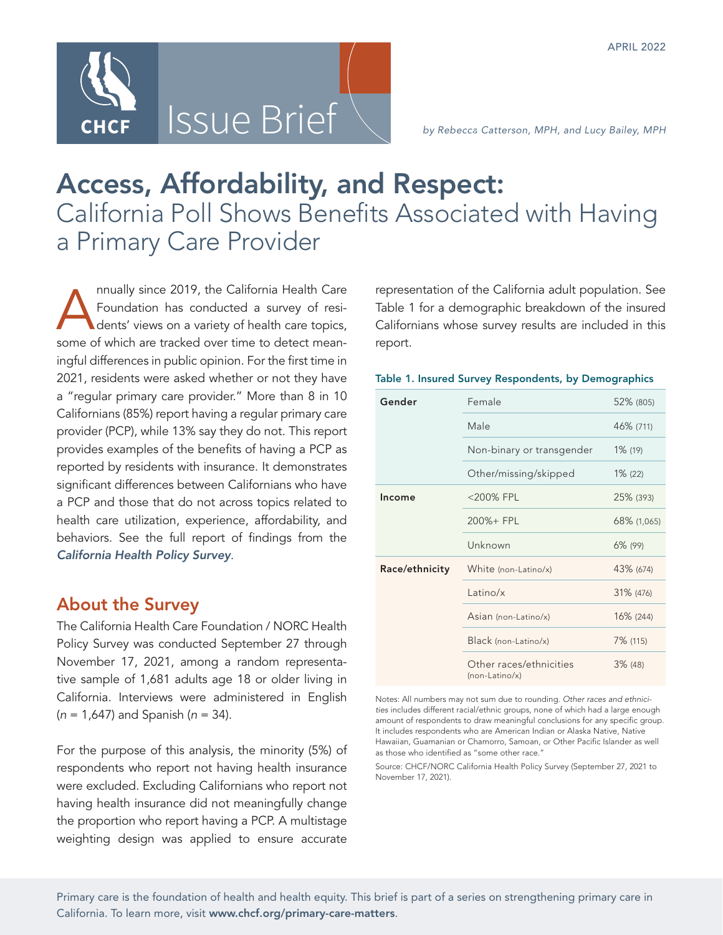

# Access, Affordability, and Respect: California Poll Shows Benefits Associated with Having a Primary Care Provider

Annually since 2019, the California Health Care<br>Foundation has conducted a survey of residents' views on a variety of health care topics, Foundation has conducted a survey of residents' views on a variety of health care topics, some of which are tracked over time to detect meaningful differences in public opinion. For the first time in 2021, residents were asked whether or not they have a "regular primary care provider." More than 8 in 10 Californians (85%) report having a regular primary care provider (PCP), while 13% say they do not. This report provides examples of the benefits of having a PCP as reported by residents with insurance. It demonstrates significant differences between Californians who have a PCP and those that do not across topics related to health care utilization, experience, affordability, and behaviors. See the full report of findings from the *[California Health Policy Survey](https://www.chcf.org/publication/2022-chcf-california-health-policy-survey/)*.

## About the Survey

The California Health Care Foundation / NORC Health Policy Survey was conducted September 27 through November 17, 2021, among a random representative sample of 1,681 adults age 18 or older living in California. Interviews were administered in English (*n* = 1,647) and Spanish (*n* = 34).

For the purpose of this analysis, the minority (5%) of respondents who report not having health insurance were excluded. Excluding Californians who report not having health insurance did not meaningfully change the proportion who report having a PCP. A multistage weighting design was applied to ensure accurate

representation of the California adult population. See Table 1 for a demographic breakdown of the insured Californians whose survey results are included in this report.

|  |  |  | Table 1. Insured Survey Respondents, by Demographics |
|--|--|--|------------------------------------------------------|
|  |  |  |                                                      |

| Gender         | Female                                    | 52% (805)   |
|----------------|-------------------------------------------|-------------|
|                | Male                                      | 46% (711)   |
|                | Non-binary or transgender                 | $1\%$ (19)  |
|                | Other/missing/skipped                     | $1\%$ (22)  |
| Income         | <200% FPL                                 | 25% (393)   |
|                | 200%+ FPL                                 | 68% (1,065) |
|                | Unknown                                   | $6\%$ (99)  |
| Race/ethnicity | White (non-Latino/x)                      | 43% (674)   |
|                | Latino/ $x$                               | 31% (476)   |
|                | Asian (non-Latino/x)                      | 16% (244)   |
|                | Black (non-Latino/x)                      | 7% (115)    |
|                | Other races/ethnicities<br>(non-Latino/x) | $3\%$ (48)  |

Notes: All numbers may not sum due to rounding. *Other races and ethnicities* includes different racial/ethnic groups, none of which had a large enough amount of respondents to draw meaningful conclusions for any specific group. It includes respondents who are American Indian or Alaska Native, Native Hawaiian, Guamanian or Chamorro, Samoan, or Other Pacific Islander as well as those who identified as "some other race."

Source: CHCF/NORC California Health Policy Survey (September 27, 2021 to November 17, 2021).

Primary care is the foundation of health and health equity. This brief is part of a series on strengthening primary care in California. To learn more, visit www.chcf.org/primary-care-matters.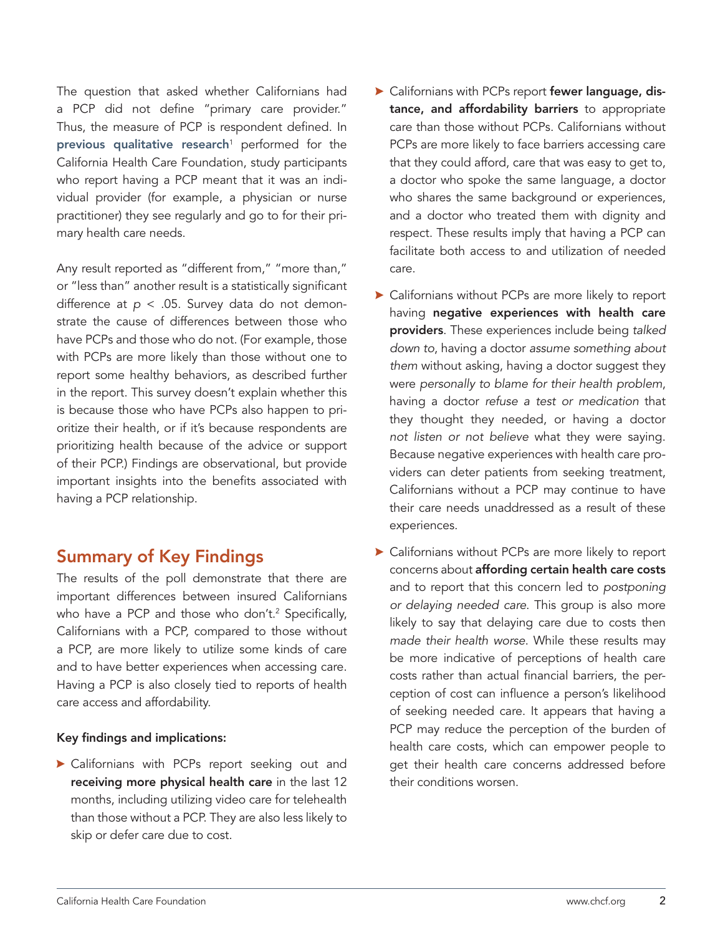The question that asked whether Californians had a PCP did not define "primary care provider." Thus, the measure of PCP is respondent defined. In **[previous qualitative research](https://www.chcf.org/publication/listening-californians-low-incomes-experience-health-care-system-means-future/)**<sup>1</sup> performed for the California Health Care Foundation, study participants who report having a PCP meant that it was an individual provider (for example, a physician or nurse practitioner) they see regularly and go to for their primary health care needs.

Any result reported as "different from," "more than," or "less than" another result is a statistically significant difference at *p* < .05. Survey data do not demonstrate the cause of differences between those who have PCPs and those who do not. (For example, those with PCPs are more likely than those without one to report some healthy behaviors, as described further in the report. This survey doesn't explain whether this is because those who have PCPs also happen to prioritize their health, or if it's because respondents are prioritizing health because of the advice or support of their PCP.) Findings are observational, but provide important insights into the benefits associated with having a PCP relationship.

# Summary of Key Findings

The results of the poll demonstrate that there are important differences between insured Californians who have a PCP and those who don't.2 Specifically, Californians with a PCP, compared to those without a PCP, are more likely to utilize some kinds of care and to have better experiences when accessing care. Having a PCP is also closely tied to reports of health care access and affordability.

### Key findings and implications:

<sup>A</sup> Californians with PCPs report seeking out and receiving more physical health care in the last 12 months, including utilizing video care for telehealth than those without a PCP. They are also less likely to skip or defer care due to cost.

- A Californians with PCPs report fewer language, distance, and affordability barriers to appropriate care than those without PCPs. Californians without PCPs are more likely to face barriers accessing care that they could afford, care that was easy to get to, a doctor who spoke the same language, a doctor who shares the same background or experiences, and a doctor who treated them with dignity and respect. These results imply that having a PCP can facilitate both access to and utilization of needed care.
- $\blacktriangleright$  Californians without PCPs are more likely to report having negative experiences with health care providers. These experiences include being *talked down to*, having a doctor *assume something about them* without asking, having a doctor suggest they were *personally to blame for their health problem*, having a doctor *refuse a test or medication* that they thought they needed, or having a doctor *not listen or not believe* what they were saying. Because negative experiences with health care providers can deter patients from seeking treatment, Californians without a PCP may continue to have their care needs unaddressed as a result of these experiences.
- $\blacktriangleright$  Californians without PCPs are more likely to report concerns about affording certain health care costs and to report that this concern led to *postponing or delaying needed care*. This group is also more likely to say that delaying care due to costs then *made their health worse*. While these results may be more indicative of perceptions of health care costs rather than actual financial barriers, the perception of cost can influence a person's likelihood of seeking needed care. It appears that having a PCP may reduce the perception of the burden of health care costs, which can empower people to get their health care concerns addressed before their conditions worsen.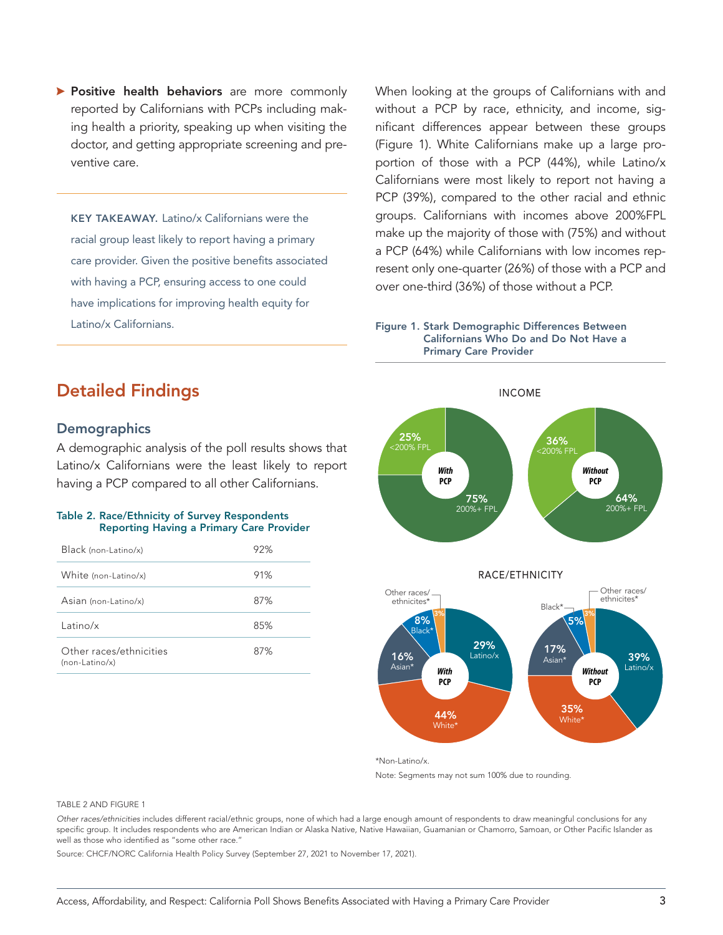**> Positive health behaviors** are more commonly reported by Californians with PCPs including making health a priority, speaking up when visiting the doctor, and getting appropriate screening and preventive care.

KEY TAKEAWAY. Latino/x Californians were the racial group least likely to report having a primary care provider. Given the positive benefits associated with having a PCP, ensuring access to one could have implications for improving health equity for Latino/x Californians.

When looking at the groups of Californians with and without a PCP by race, ethnicity, and income, significant differences appear between these groups (Figure 1). White Californians make up a large proportion of those with a PCP (44%), while Latino/x Californians were most likely to report not having a PCP (39%), compared to the other racial and ethnic groups. Californians with incomes above 200%FPL make up the majority of those with (75%) and without a PCP (64%) while Californians with low incomes represent only one-quarter (26%) of those with a PCP and over one-third (36%) of those without a PCP.



# Detailed Findings

### **Demographics**

A demographic analysis of the poll results shows that Latino/x Californians were the least likely to report having a PCP compared to all other Californians.

### Table 2. Race/Ethnicity of Survey Respondents Reporting Having a Primary Care Provider

| Black (non-Latino/x)                        | 92% |
|---------------------------------------------|-----|
| White (non-Latino/x)                        | 91% |
| Asian (non-Latino/x)                        | 87% |
| Latino/x                                    | 85% |
| Other races/ethnicities<br>$(non-Latino/x)$ | 87% |







\*Non-Latino/x.

Note: Segments may not sum 100% due to rounding.

#### TABLE 2 AND FIGURE 1

*Other races/ethnicities* includes different racial/ethnic groups, none of which had a large enough amount of respondents to draw meaningful conclusions for any specific group. It includes respondents who are American Indian or Alaska Native, Native Hawaiian, Guamanian or Chamorro, Samoan, or Other Pacific Islander as well as those who identified as "some other race."

Source: CHCF/NORC California Health Policy Survey (September 27, 2021 to November 17, 2021).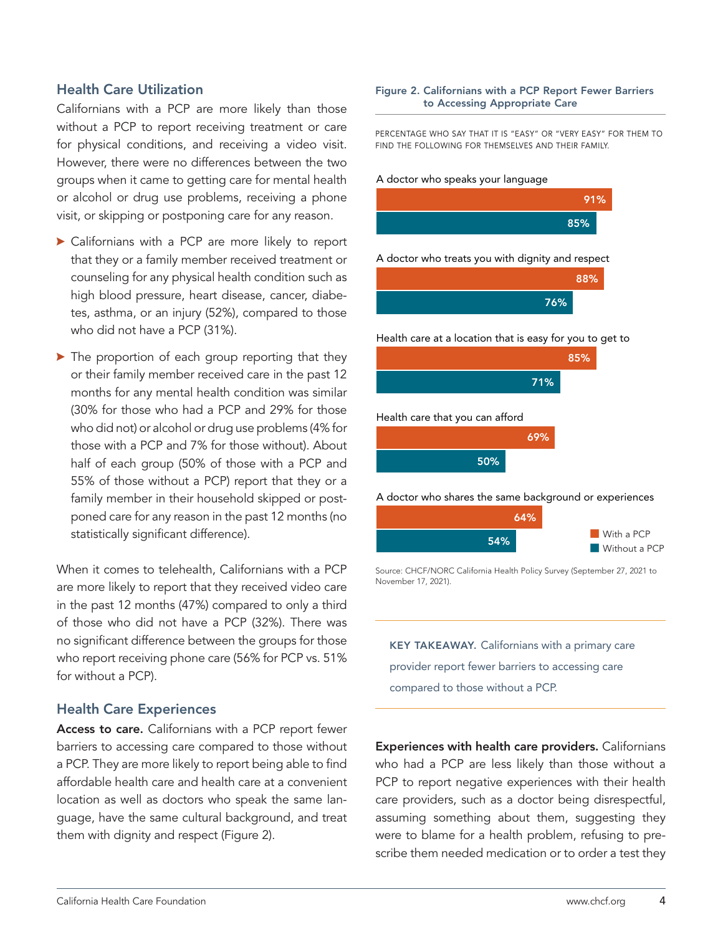### Health Care Utilization

Californians with a PCP are more likely than those without a PCP to report receiving treatment or care for physical conditions, and receiving a video visit. However, there were no differences between the two groups when it came to getting care for mental health or alcohol or drug use problems, receiving a phone visit, or skipping or postponing care for any reason.

- $\triangleright$  Californians with a PCP are more likely to report that they or a family member received treatment or counseling for any physical health condition such as high blood pressure, heart disease, cancer, diabetes, asthma, or an injury (52%), compared to those who did not have a PCP (31%).
- $\blacktriangleright$  The proportion of each group reporting that they or their family member received care in the past 12 months for any mental health condition was similar (30% for those who had a PCP and 29% for those who did not) or alcohol or drug use problems (4% for those with a PCP and 7% for those without). About half of each group (50% of those with a PCP and 55% of those without a PCP) report that they or a family member in their household skipped or postponed care for any reason in the past 12 months (no statistically significant difference).

When it comes to telehealth, Californians with a PCP are more likely to report that they received video care in the past 12 months (47%) compared to only a third of those who did not have a PCP (32%). There was no significant difference between the groups for those who report receiving phone care (56% for PCP vs. 51% for without a PCP).

### Health Care Experiences

Access to care. Californians with a PCP report fewer barriers to accessing care compared to those without a PCP. They are more likely to report being able to find affordable health care and health care at a convenient location as well as doctors who speak the same language, have the same cultural background, and treat them with dignity and respect (Figure 2).

#### Figure 2. Californians with a PCP Report Fewer Barriers to Accessing Appropriate Care

PERCENTAGE WHO SAY THAT IT IS "EASY" OR "VERY EASY" FOR THEM TO FIND THE FOLLOWING FOR THEMSELVES AND THEIR FAMILY.

#### A doctor who speaks your language



A doctor who treats you with dignity and respect



Health care at a location that is easy for you to get to



50%

A doctor who shares the same background or experiences



Source: CHCF/NORC California Health Policy Survey (September 27, 2021 to November 17, 2021).

KEY TAKEAWAY. Californians with a primary care provider report fewer barriers to accessing care compared to those without a PCP.

Experiences with health care providers. Californians who had a PCP are less likely than those without a PCP to report negative experiences with their health care providers, such as a doctor being disrespectful, assuming something about them, suggesting they were to blame for a health problem, refusing to prescribe them needed medication or to order a test they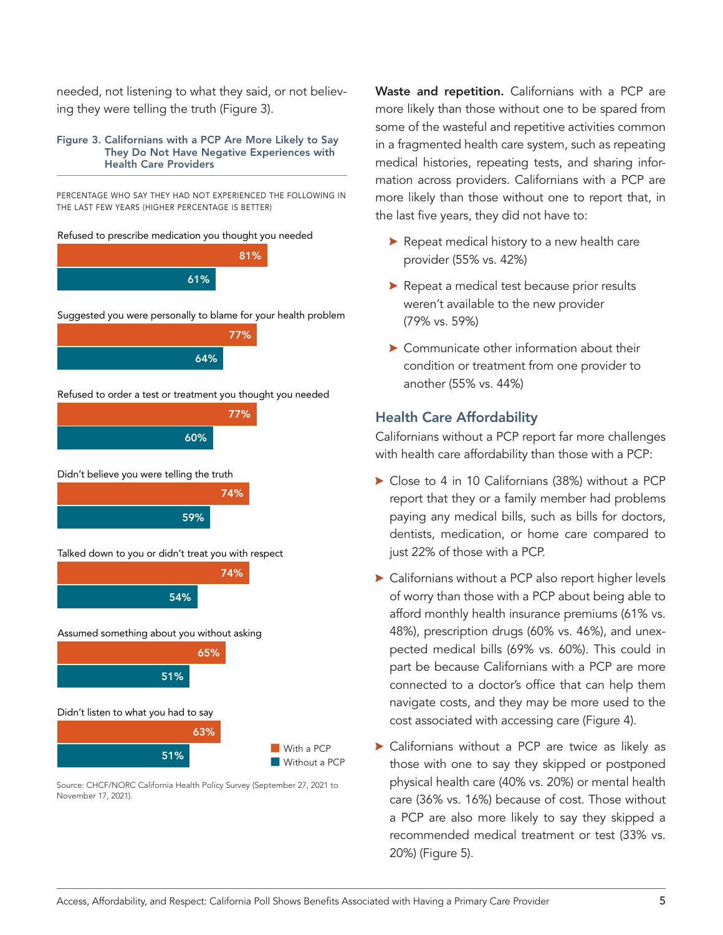needed, not listening to what they said, or not believing they were telling the truth (Figure 3).

#### Figure 3. Californians with a PCP Are More Likely to Say They Do Not Have Negative Experiences with Health Care Providers

PERCENTAGE WHO SAY THEY HAD NOT EXPERIENCED THE FOLLOWING IN THE LAST FEW YEARS (HIGHER PERCENTAGE IS BETTER)



Source: CHCF/NORC California Health Policy Survey (September 27, 2021 to November 17, 2021).

Waste and repetition. Californians with a PCP are more likely than those without one to be spared from some of the wasteful and repetitive activities common in a fragmented health care system, such as repeating medical histories, repeating tests, and sharing information across providers. Californians with a PCP are more likely than those without one to report that, in the last five years, they did not have to:

- $\triangleright$  Repeat medical history to a new health care provider (55% vs. 42%)
- $\blacktriangleright$  Repeat a medical test because prior results weren't available to the new provider (79% vs. 59%)
- $\triangleright$  Communicate other information about their condition or treatment from one provider to another (55% vs. 44%)

### Health Care Affordability

Californians without a PCP report far more challenges with health care affordability than those with a PCP:

- $\triangleright$  Close to 4 in 10 Californians (38%) without a PCP report that they or a family member had problems paying any medical bills, such as bills for doctors, dentists, medication, or home care compared to just 22% of those with a PCP.
- ▶ Californians without a PCP also report higher levels of worry than those with a PCP about being able to afford monthly health insurance premiums (61% vs. 48%), prescription drugs (60% vs. 46%), and unexpected medical bills (69% vs. 60%). This could in part be because Californians with a PCP are more connected to a doctor's office that can help them navigate costs, and they may be more used to the cost associated with accessing care (Figure 4).
- <sup>A</sup> Californians without a PCP are twice as likely as those with one to say they skipped or postponed physical health care (40% vs. 20%) or mental health care (36% vs. 16%) because of cost. Those without a PCP are also more likely to say they skipped a recommended medical treatment or test (33% vs. 20%) (Figure 5).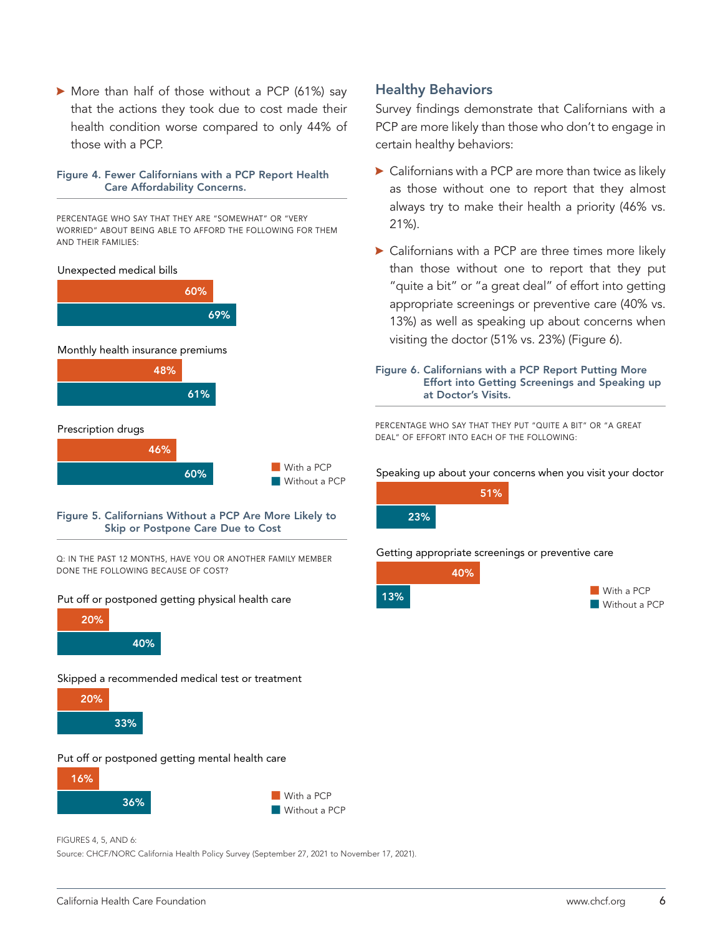$\blacktriangleright$  More than half of those without a PCP (61%) say that the actions they took due to cost made their health condition worse compared to only 44% of those with a PCP.

### Figure 4. Fewer Californians with a PCP Report Health Care Affordability Concerns.

PERCENTAGE WHO SAY THAT THEY ARE "SOMEWHAT" OR "VERY WORRIED" ABOUT BEING ABLE TO AFFORD THE FOLLOWING FOR THEM AND THEIR FAMILIES:



#### Figure 5. Californians Without a PCP Are More Likely to Skip or Postpone Care Due to Cost

Q: IN THE PAST 12 MONTHS, HAVE YOU OR ANOTHER FAMILY MEMBER DONE THE FOLLOWING BECAUSE OF COST?

### Put off or postponed getting physical health care



Skipped a recommended medical test or treatment



#### Put off or postponed getting mental health care



FIGURES 4, 5, AND 6:

Source: CHCF/NORC California Health Policy Survey (September 27, 2021 to November 17, 2021).

### Healthy Behaviors

Survey findings demonstrate that Californians with a PCP are more likely than those who don't to engage in certain healthy behaviors:

- $\triangleright$  Californians with a PCP are more than twice as likely as those without one to report that they almost always try to make their health a priority (46% vs. 21%).
- $\blacktriangleright$  Californians with a PCP are three times more likely than those without one to report that they put "quite a bit" or "a great deal" of effort into getting appropriate screenings or preventive care (40% vs. 13%) as well as speaking up about concerns when visiting the doctor (51% vs. 23%) (Figure 6).



PERCENTAGE WHO SAY THAT THEY PUT "QUITE A BIT" OR "A GREAT DEAL" OF EFFORT INTO EACH OF THE FOLLOWING:

Speaking up about your concerns when you visit your doctor



#### Getting appropriate screenings or preventive care